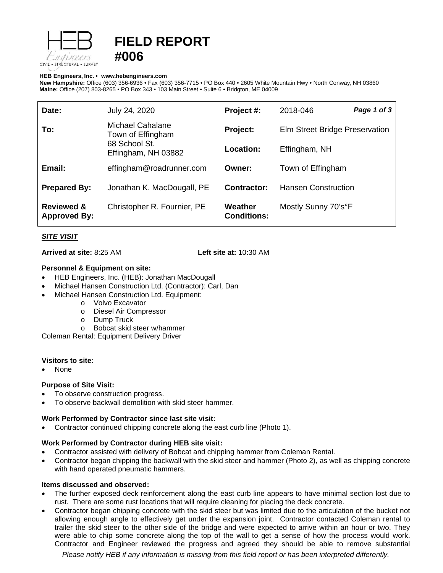

# **FIELD REPORT #006**

#### **HEB Engineers, Inc.** • **[www.hebengineer](http://www.hebengineers.com/)s.com**

**New Hampshire:** Office (603) 356-6936 • Fax (603) 356-7715 • PO Box 440 • 2605 White Mountain Hwy • North Conway, NH 03860 **Maine:** Office (207) 803-8265 • PO Box 343 • 103 Main Street • Suite 6 • Bridgton, ME 04009

| Date:                                        | July 24, 2020                                                                        | Project #:                    | 2018-046                       | Page 1 of 3 |
|----------------------------------------------|--------------------------------------------------------------------------------------|-------------------------------|--------------------------------|-------------|
| To:                                          | <b>Michael Cahalane</b><br>Town of Effingham<br>68 School St.<br>Effingham, NH 03882 | Project:                      | Elm Street Bridge Preservation |             |
|                                              |                                                                                      | Location:                     | Effingham, NH                  |             |
| Email:                                       | effingham@roadrunner.com                                                             | Owner:                        | Town of Effingham              |             |
| <b>Prepared By:</b>                          | Jonathan K. MacDougall, PE                                                           | Contractor:                   | <b>Hansen Construction</b>     |             |
| <b>Reviewed &amp;</b><br><b>Approved By:</b> | Christopher R. Fournier, PE                                                          | Weather<br><b>Conditions:</b> | Mostly Sunny 70's°F            |             |

# *SITE VISIT*

**Arrived at site:** 8:25 AM **Left site at:** 10:30 AM

## **Personnel & Equipment on site:**

- HEB Engineers, Inc. (HEB): Jonathan MacDougall
- Michael Hansen Construction Ltd. (Contractor): Carl, Dan
- Michael Hansen Construction Ltd. Equipment:
	- o Volvo Excavator
	- o Diesel Air Compressor
	-
	- o Dump Truck<br>o Bobcat skid s Bobcat skid steer w/hammer

Coleman Rental: Equipment Delivery Driver

### **Visitors to site:**

• None

# **Purpose of Site Visit:**

- To observe construction progress.
- To observe backwall demolition with skid steer hammer.

### **Work Performed by Contractor since last site visit:**

• Contractor continued chipping concrete along the east curb line (Photo 1).

### **Work Performed by Contractor during HEB site visit:**

- Contractor assisted with delivery of Bobcat and chipping hammer from Coleman Rental.
- Contractor began chipping the backwall with the skid steer and hammer (Photo 2), as well as chipping concrete with hand operated pneumatic hammers.

### **Items discussed and observed:**

- The further exposed deck reinforcement along the east curb line appears to have minimal section lost due to rust. There are some rust locations that will require cleaning for placing the deck concrete.
- Contractor began chipping concrete with the skid steer but was limited due to the articulation of the bucket not allowing enough angle to effectively get under the expansion joint. Contractor contacted Coleman rental to trailer the skid steer to the other side of the bridge and were expected to arrive within an hour or two. They were able to chip some concrete along the top of the wall to get a sense of how the process would work. Contractor and Engineer reviewed the progress and agreed they should be able to remove substantial

*Please notify HEB if any information is missing from this field report or has been interpreted differently.*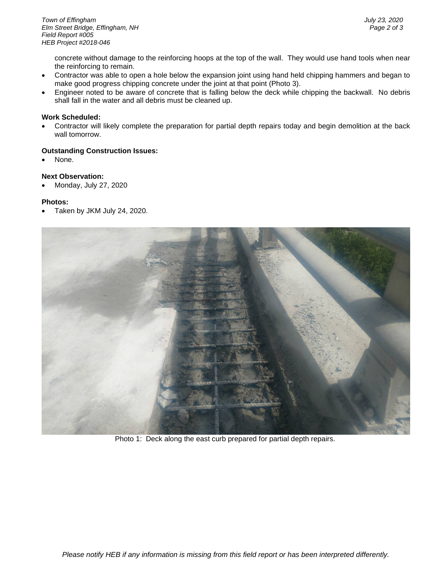concrete without damage to the reinforcing hoops at the top of the wall. They would use hand tools when near the reinforcing to remain.

- Contractor was able to open a hole below the expansion joint using hand held chipping hammers and began to make good progress chipping concrete under the joint at that point (Photo 3).
- Engineer noted to be aware of concrete that is falling below the deck while chipping the backwall. No debris shall fall in the water and all debris must be cleaned up.

#### **Work Scheduled:**

• Contractor will likely complete the preparation for partial depth repairs today and begin demolition at the back wall tomorrow.

#### **Outstanding Construction Issues:**

None.

# **Next Observation:**

• Monday, July 27, 2020

#### **Photos:**

• Taken by JKM July 24, 2020.



Photo 1: Deck along the east curb prepared for partial depth repairs.